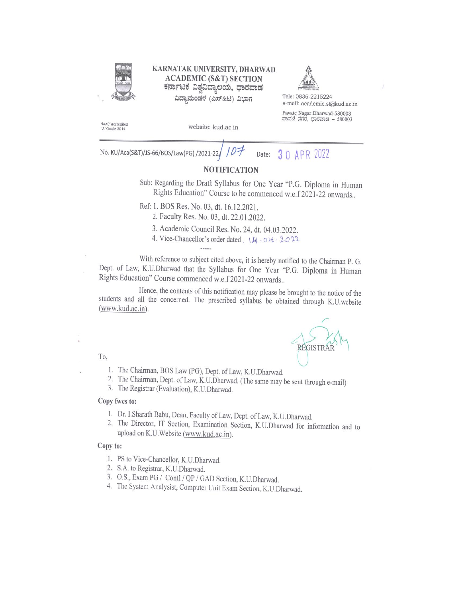

#### KARNATAK UNIVERSITY, DHARWAD **ACADEMIC (S&T) SECTION** ಕರ್ನಾಟಕ ವಿಶ್ವವಿದ್ಯಾಲಯ, ಧಾರವಾಡ ವಿದ್ಯಾಮಂಡಳ (ಎಸ್&ಟಿ) ವಿಭಾಗ



3 0 APR 2022

Tele: 0836-2215224 e-mail: academic.st@kud.ac.in Pavate Nagar, Dharwad-580003 ಪಾವಟೆ ನಗರ, ಧಾರವಾಡ - 580003

NAAC Accredited 'A' Grade 2014

website: kud.ac.in

No. KU/Aca(S&T)/JS-66/BOS/Law(PG) /2021-22/ Date:

## **NOTIFICATION**

Sub: Regarding the Draft Syllabus for One Year "P.G. Diploma in Human Rights Education" Course to be commenced w.e.f 2021-22 onwards..

Ref: 1. BOS Res. No. 03, dt. 16.12.2021.

2. Faculty Res. No. 03, dt. 22.01.2022.

3. Academic Council Res. No. 24, dt. 04.03.2022.

4. Vice-Chancellor's order dated, 14. 04. 2022

With reference to subject cited above, it is hereby notified to the Chairman P. G. Dept. of Law, K.U.Dharwad that the Syllabus for One Year "P.G. Diploma in Human Rights Education" Course commenced w.e.f 2021-22 onwards..

Hence, the contents of this notification may please be brought to the notice of the students and all the concerned. The prescribed syllabus be obtained through K.U.website (www.kud.ac.in).



#### To,

- 1. The Chairman, BOS Law (PG), Dept. of Law, K.U.Dharwad.
- 2. The Chairman, Dept. of Law, K.U.Dharwad. (The same may be sent through e-mail)
- 3. The Registrar (Evaluation), K.U.Dharwad.

#### Copy fwcs to:

- 1. Dr. I.Sharath Babu, Dean, Faculty of Law, Dept. of Law, K.U.Dharwad.
- 2. The Director, IT Section, Examination Section, K.U.Dharwad for information and to upload on K.U.Website (www.kud.ac.in).

#### Copy to:

- 1. PS to Vice-Chancellor, K.U.Dharwad.
- 2. S.A. to Registrar, K.U.Dharwad.
- 3. O.S., Exam PG / Confl / QP / GAD Section, K.U.Dharwad.
- 4. The System Analysist, Computer Unit Exam Section, K.U.Dharwad.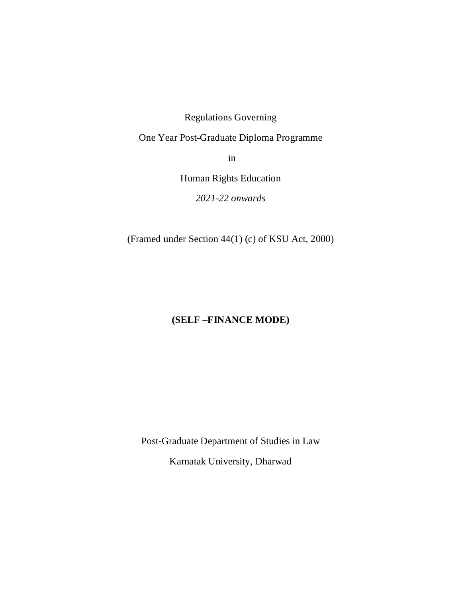Regulations Governing

One Year Post-Graduate Diploma Programme

in

Human Rights Education

*2021-22 onwards*

(Framed under Section 44(1) (c) of KSU Act, 2000)

# **(SELF –FINANCE MODE)**

Post-Graduate Department of Studies in Law Karnatak University, Dharwad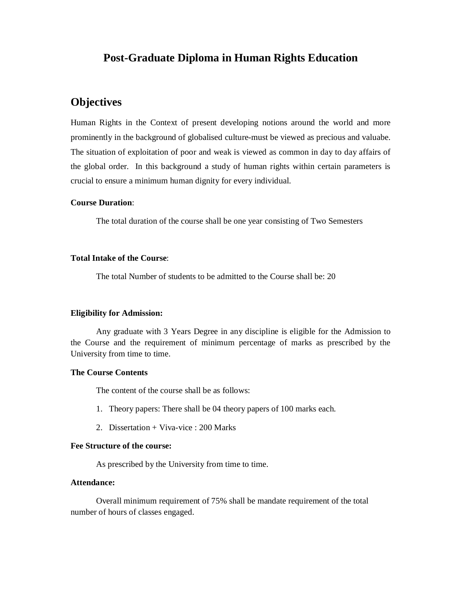# **Post-Graduate Diploma in Human Rights Education**

# **Objectives**

Human Rights in the Context of present developing notions around the world and more prominently in the background of globalised culture-must be viewed as precious and valuabe. The situation of exploitation of poor and weak is viewed as common in day to day affairs of the global order. In this background a study of human rights within certain parameters is crucial to ensure a minimum human dignity for every individual.

#### **Course Duration**:

The total duration of the course shall be one year consisting of Two Semesters

#### **Total Intake of the Course**:

The total Number of students to be admitted to the Course shall be: 20

#### **Eligibility for Admission:**

Any graduate with 3 Years Degree in any discipline is eligible for the Admission to the Course and the requirement of minimum percentage of marks as prescribed by the University from time to time.

#### **The Course Contents**

The content of the course shall be as follows:

- 1. Theory papers: There shall be 04 theory papers of 100 marks each.
- 2. Dissertation + Viva-vice : 200 Marks

#### **Fee Structure of the course:**

As prescribed by the University from time to time.

#### **Attendance:**

Overall minimum requirement of 75% shall be mandate requirement of the total number of hours of classes engaged.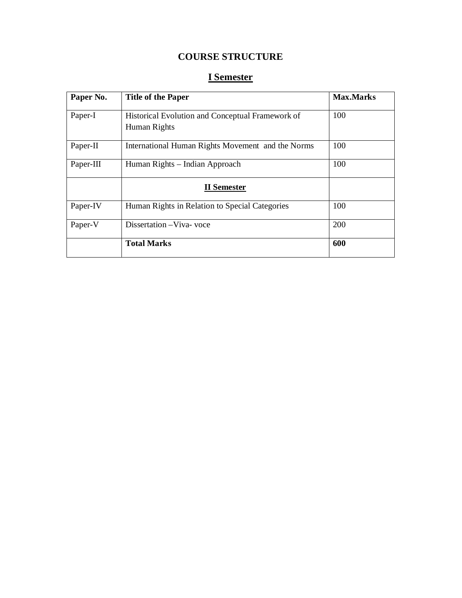# **COURSE STRUCTURE**

# **I Semester**

| Paper No. | <b>Title of the Paper</b>                                        | <b>Max.Marks</b> |
|-----------|------------------------------------------------------------------|------------------|
| Paper-I   | Historical Evolution and Conceptual Framework of<br>Human Rights | 100              |
| Paper-II  | International Human Rights Movement and the Norms                | 100              |
| Paper-III | Human Rights – Indian Approach                                   | 100              |
|           | <b>II</b> Semester                                               |                  |
| Paper-IV  | Human Rights in Relation to Special Categories                   | 100              |
| Paper-V   | Dissertation-Viva-voce                                           | 200              |
|           | <b>Total Marks</b>                                               | 600              |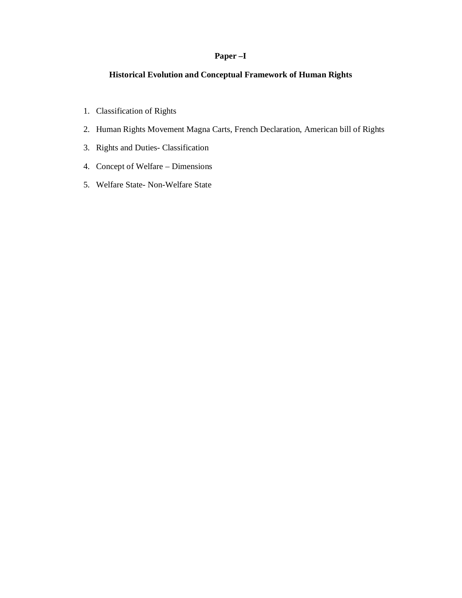## **Paper –I**

## **Historical Evolution and Conceptual Framework of Human Rights**

- 1. Classification of Rights
- 2. Human Rights Movement Magna Carts, French Declaration, American bill of Rights
- 3. Rights and Duties- Classification
- 4. Concept of Welfare Dimensions
- 5. Welfare State- Non-Welfare State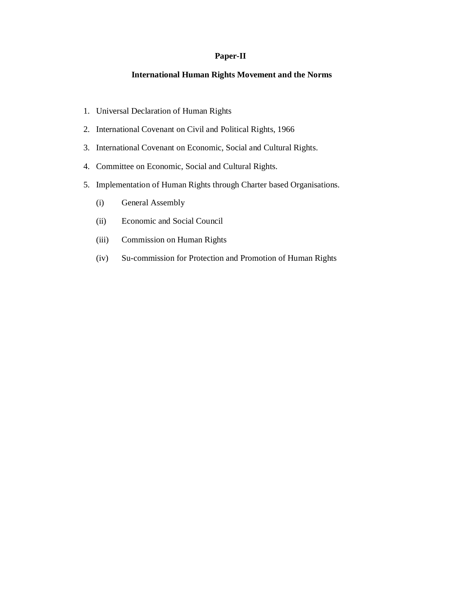#### **Paper-II**

### **International Human Rights Movement and the Norms**

- 1. Universal Declaration of Human Rights
- 2. International Covenant on Civil and Political Rights, 1966
- 3. International Covenant on Economic, Social and Cultural Rights.
- 4. Committee on Economic, Social and Cultural Rights.
- 5. Implementation of Human Rights through Charter based Organisations.
	- (i) General Assembly
	- (ii) Economic and Social Council
	- (iii) Commission on Human Rights
	- (iv) Su-commission for Protection and Promotion of Human Rights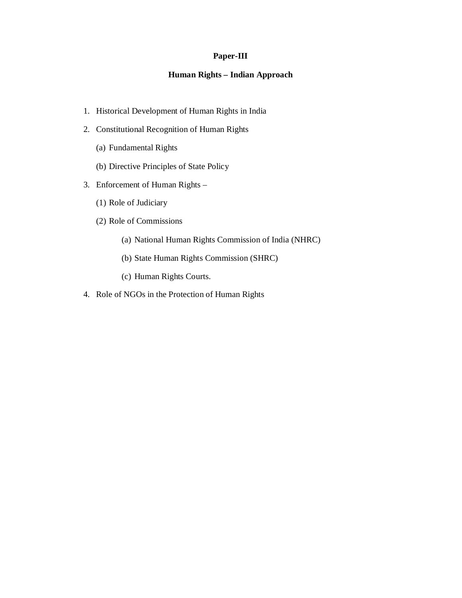#### **Paper-III**

## **Human Rights – Indian Approach**

- 1. Historical Development of Human Rights in India
- 2. Constitutional Recognition of Human Rights
	- (a) Fundamental Rights
	- (b) Directive Principles of State Policy
- 3. Enforcement of Human Rights
	- (1) Role of Judiciary
	- (2) Role of Commissions
		- (a) National Human Rights Commission of India (NHRC)
		- (b) State Human Rights Commission (SHRC)
		- (c) Human Rights Courts.
- 4. Role of NGOs in the Protection of Human Rights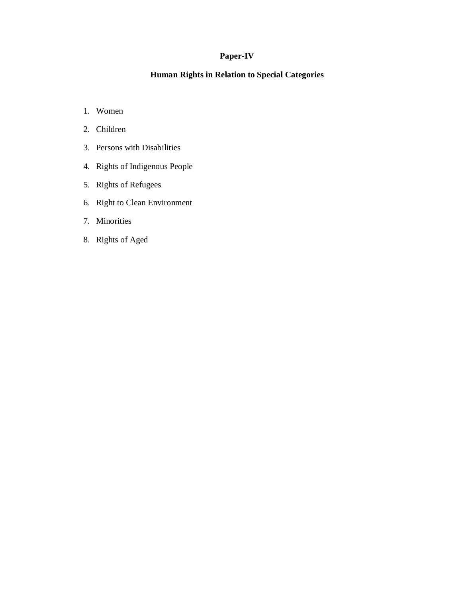## **Paper-IV**

## **Human Rights in Relation to Special Categories**

- 1. Women
- 2. Children
- 3. Persons with Disabilities
- 4. Rights of Indigenous People
- 5. Rights of Refugees
- 6. Right to Clean Environment
- 7. Minorities
- 8. Rights of Aged